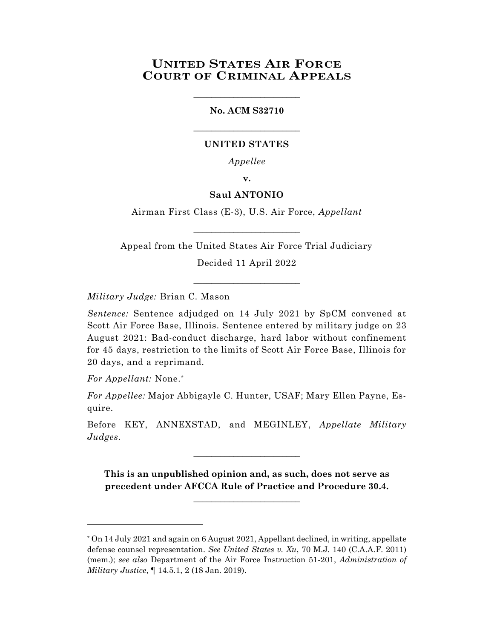# **UNITED STATES AIR FORCE COURT OF CRIMINAL APPEALS**

#### **No. ACM S32710**

\_\_\_\_\_\_\_\_\_\_\_\_\_\_\_\_\_\_\_\_\_\_\_\_

\_\_\_\_\_\_\_\_\_\_\_\_\_\_\_\_\_\_\_\_\_\_\_\_

#### **UNITED STATES**

*Appellee*

**v.**

### **Saul ANTONIO**

Airman First Class (E-3), U.S. Air Force, *Appellant*

\_\_\_\_\_\_\_\_\_\_\_\_\_\_\_\_\_\_\_\_\_\_\_\_

Appeal from the United States Air Force Trial Judiciary Decided 11 April 2022

\_\_\_\_\_\_\_\_\_\_\_\_\_\_\_\_\_\_\_\_\_\_\_\_

*Military Judge:* Brian C. Mason

*Sentence:* Sentence adjudged on 14 July 2021 by SpCM convened at Scott Air Force Base, Illinois. Sentence entered by military judge on 23 August 2021: Bad-conduct discharge, hard labor without confinement for 45 days, restriction to the limits of Scott Air Force Base, Illinois for 20 days, and a reprimand.

*For Appellant:* None.\*

l

*For Appellee:* Major Abbigayle C. Hunter, USAF; Mary Ellen Payne, Esquire.

Before KEY, ANNEXSTAD, and MEGINLEY, *Appellate Military Judges.*

\_\_\_\_\_\_\_\_\_\_\_\_\_\_\_\_\_\_\_\_\_\_\_\_

**This is an unpublished opinion and, as such, does not serve as precedent under AFCCA Rule of Practice and Procedure 30.4.**

**\_\_\_\_\_\_\_\_\_\_\_\_\_\_\_\_\_\_\_\_\_\_\_\_**

<sup>\*</sup> On 14 July 2021 and again on 6 August 2021, Appellant declined, in writing, appellate defense counsel representation. *See United States v. Xu*, 70 M.J. 140 (C.A.A.F. 2011) (mem.); *see also* Department of the Air Force Instruction 51-201, *Administration of Military Justice*, ¶ 14.5.1, 2 (18 Jan. 2019).